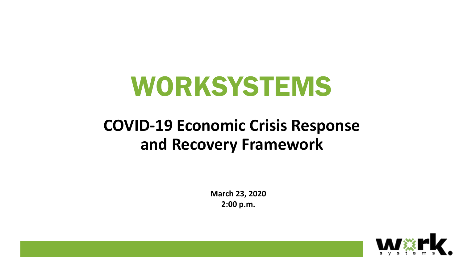# WORKSYSTEMS

### **COVID-19 Economic Crisis Response and Recovery Framework**

**March 23, 2020 2:00 p.m.**

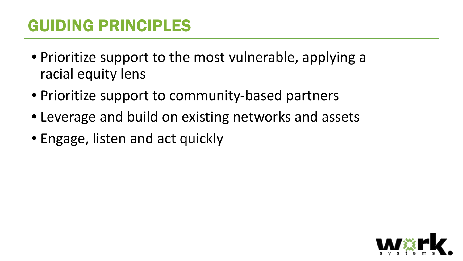### GUIDING PRINCIPLES

- Prioritize support to the most vulnerable, applying a racial equity lens
- Prioritize support to community-based partners
- Leverage and build on existing networks and assets
- Engage, listen and act quickly

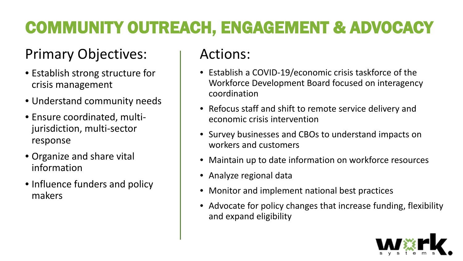# COMMUNITY OUTREACH, ENGAGEMENT & ADVOCACY

### Primary Objectives:

- Establish strong structure for crisis management
- Understand community needs
- Ensure coordinated, multijurisdiction, multi-sector response
- Organize and share vital information
- Influence funders and policy makers

- Establish a COVID-19/economic crisis taskforce of the Workforce Development Board focused on interagency coordination
- Refocus staff and shift to remote service delivery and economic crisis intervention
- Survey businesses and CBOs to understand impacts on workers and customers
- Maintain up to date information on workforce resources
- Analyze regional data
- Monitor and implement national best practices
- Advocate for policy changes that increase funding, flexibility and expand eligibility

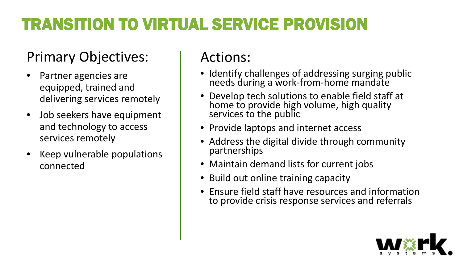# TRANSITION TO VIRTUAL SERVICE PROVISION

#### Primary Objectives:

- Partner agencies are equipped, trained and delivering services remotely
- Job seekers have equipment and technology to access services remotely
- Keep vulnerable populations connected

- Identify challenges of addressing surging public needs during a work-from-home mandate
- Develop tech solutions to enable field staff at home to provide high volume, high quality services to the public
- Provide laptops and internet access
- Address the digital divide through community partnerships
- Maintain demand lists for current jobs
- Build out online training capacity
- Ensure field staff have resources and information to provide crisis response services and referrals

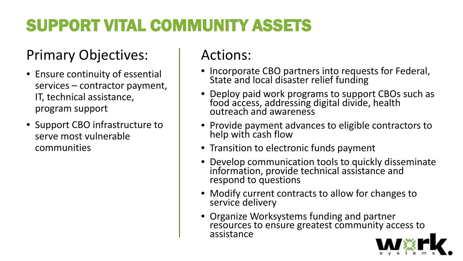# SUPPORT VITAL COMMUNITY ASSETS

#### Primary Objectives:

- Ensure continuity of essential services – contractor payment, IT, technical assistance, program support
- Support CBO infrastructure to serve most vulnerable communities

- Incorporate CBO partners into requests for Federal, State and local disaster relief funding
- Deploy paid work programs to support CBOs such as food access, addressing digital divide, health outreach and awareness
- Provide payment advances to eligible contractors to help with cash flow
- Transition to electronic funds payment
- Develop communication tools to quickly disseminate information, provide technical assistance and respond to questions
- Modify current contracts to allow for changes to service delivery
- Organize Worksystems funding and partner resources to ensure greatest community access to assistance

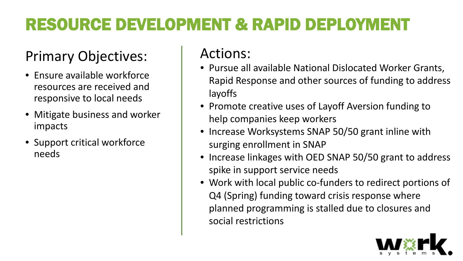# RESOURCE DEVELOPMENT & RAPID DEPLOYMENT

### Primary Objectives:

- Ensure available workforce resources are received and responsive to local needs
- Mitigate business and worker impacts
- Support critical workforce needs

- Pursue all available National Dislocated Worker Grants, Rapid Response and other sources of funding to address layoffs
- Promote creative uses of Layoff Aversion funding to help companies keep workers
- Increase Worksystems SNAP 50/50 grant inline with surging enrollment in SNAP
- Increase linkages with OED SNAP 50/50 grant to address spike in support service needs
- Work with local public co-funders to redirect portions of Q4 (Spring) funding toward crisis response where planned programming is stalled due to closures and social restrictions

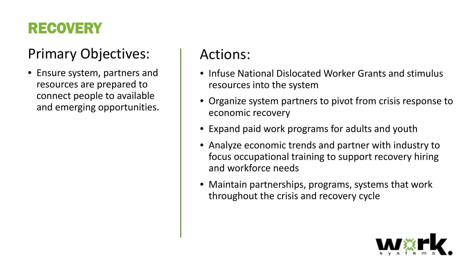### RECOVERY

#### Primary Objectives:

• Ensure system, partners and resources are prepared to connect people to available and emerging opportunities.

- Infuse National Dislocated Worker Grants and stimulus resources into the system
- Organize system partners to pivot from crisis response to economic recovery
- Expand paid work programs for adults and youth
- Analyze economic trends and partner with industry to focus occupational training to support recovery hiring and workforce needs
- Maintain partnerships, programs, systems that work throughout the crisis and recovery cycle